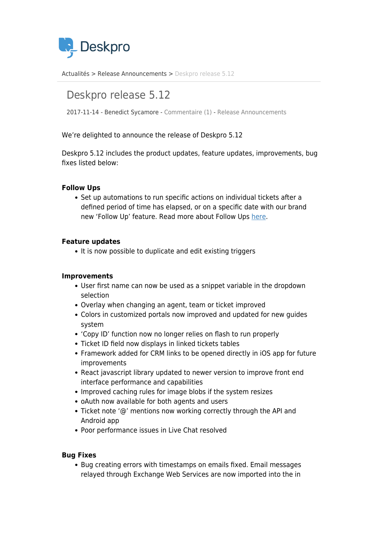

[Actualités](https://support.deskpro.com/fr/news) > [Release Announcements](https://support.deskpro.com/fr/news/release-announcements) > [Deskpro release 5.12](https://support.deskpro.com/fr/news/posts/deskpro-release-5-12)

# Deskpro release 5.12

2017-11-14 - Benedict Sycamore - [Commentaire \(1\)](#page--1-0) - [Release Announcements](https://support.deskpro.com/fr/news/release-announcements)

We're delighted to announce the release of Deskpro 5.12

Deskpro 5.12 includes the product updates, feature updates, improvements, bug fixes listed below:

## **Follow Ups**

Set up automations to run specific actions on individual tickets after a defined period of time has elapsed, or on a specific date with our brand new 'Follow Up' feature. Read more about Follow Ups [here.](https://support.deskpro.com/en_GB/news/posts/introducing-follow-ups)

### **Feature updates**

• It is now possible to duplicate and edit existing triggers

### **Improvements**

- User first name can now be used as a snippet variable in the dropdown selection
- Overlay when changing an agent, team or ticket improved
- Colors in customized portals now improved and updated for new guides system
- 'Copy ID' function now no longer relies on flash to run properly
- Ticket ID field now displays in linked tickets tables
- Framework added for CRM links to be opened directly in iOS app for future improvements
- React javascript library updated to newer version to improve front end interface performance and capabilities
- Improved caching rules for image blobs if the system resizes
- oAuth now available for both agents and users
- Ticket note '@' mentions now working correctly through the API and Android app
- Poor performance issues in Live Chat resolved

### **Bug Fixes**

• Bug creating errors with timestamps on emails fixed. Email messages relayed through Exchange Web Services are now imported into the in